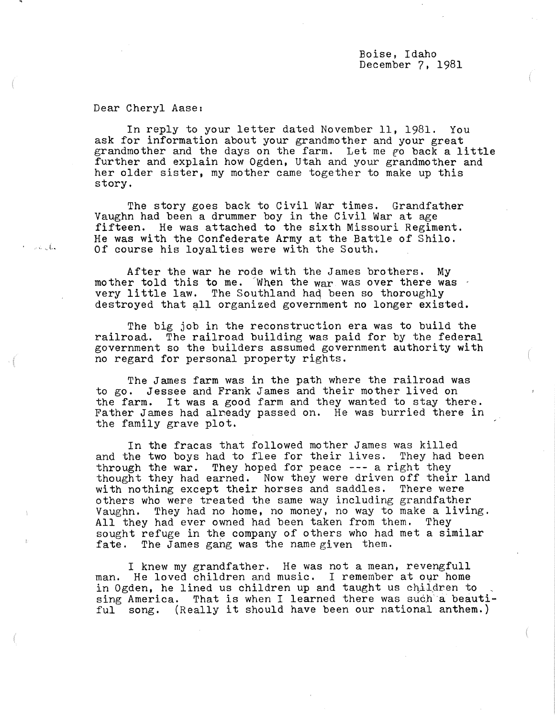Boise, Idaho December 7, 1981

Dear Cheryl Aase:

,,\_,\_(,.

In reply to your letter dated November 11, 1981. You ask for information about your grandmother and your great grandmother and the days on the farm. Let me  $\epsilon$ o back a little further and explain how Ogden, Utah and your grandmother and her older sister, my mother came together to make up this story.

The story goes back to Civil War times. Grandfather Vaughn had been a drummer boy in the Civil War at age fifteen. He was attached to the sixth Missouri Regiment. He was with the Confederate Army at the Battle of Shilo. Of course his loyalties were with the South.

After the war he rode with the James brothers. My mother told this to me. When the  $war$  was over there was very little law. The Southland haq been so thoroughly destroyed that all organized government no longer existed.

The big job in the reconstruction era was to build the railroad. The railroad building was paid for by the federal government so the builders assumed government authority with no regard for personal property rights.

The James farm was in the path where the railroad was to go. Jessee and Frank James and their mother lived on the farm. It was a good farm and they wanted to stay there. Father James had already passed on. He was burried there in the family grave plot.

In the fracas that followed mother James was killed and the two boys had to flee for their lives. They had been through the war. They hoped for peace --- a right they thought they had earned. Thow they were driven off their land<br>with nothing except their horses and saddles. There were with nothing except their horses and saddles. others who were treated the same way including grandfather Vaughn. They had no home, no money, no way to make a living. All they had ever owned had been taken from them. They sought refuge in the company of others who had met a similar fate. The James gang was the name given them.

I knew my grandfather. He was not a mean, revengfull man. He loved children and music. I remember at our home in Ogden, he lined us children up and taught us children to sing America. That is when I learned there was such a beautiful song. (Really it should have been our national anthem.)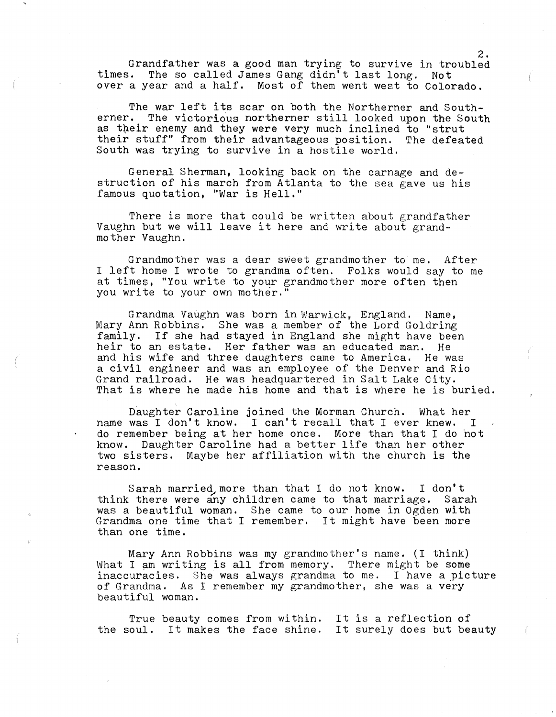Grandfather was a good man trying to survive in troubled times. The so called James Gang didn't last long. Not over a year and a half. Most of them went west to Colorado.

The war left its scar on both the Northerner and Southerner. The victorious northerner still looked upon the South as their enemy and they were very much inclined to "strut their stuff" from their advantageous position. The defeated South was trying to survive in a hostile world.

General Sherman, looking back on the carnage and destruction of his march from Atlanta to the sea gave us his famous quotation, "War is Hell."

There is more that could be written about grandfather Vaughn but we will leave it here and write about grandmother Vaughn.

Grandmother was a dear sweet grandmother to me. After I left home I wrote to grandma often. Folks would say to me at times, "You write to your grandmother more often then you write to your own mother."

Grandma Vaughn was born in Warwick, England. Name, Mary Ann Robbins. She was a member of the Lord Goldring If she had stayed in England she might have been heir to an estate. Her father was an educated man. He and his wife and three daughters came to America. He was a civil engineer and was an employee of the Denver and Rio Grand railroad. He was headquartered in Salt Lake City. That is where he made his home and that is where he is buried.

Daughter Caroline joined the Morman Church. What her name was I don't know. I can't recall that I ever knew. I do remember being at her home once. More than that I do not know. Daughter Caroline had a better life than her other two sisters. Maybe her affiliation with the church is the reason.

Sarah married, more than that I do not know. I don't think there were any children came to that marriage. Sarah was a beautiful woman. She came to our home in Ogden with was a beautiful woman. She came to our nome in oguen with<br>Grandma one time that I remember. It might have been more than one time.

Mary Ann Robbins was my grandmother's name. (I think) What I am writing is all from memory. There might be some inaccuracies. She was always grandma to me. I have a picture of Grandma. As I remember my grandmother, she was a very beautiful woman.

True beauty comes from within. It is a reflection of True beauty comes from wrthin. It is a reflection of<br>the soul. It makes the face shine. It surely does but beauty

2.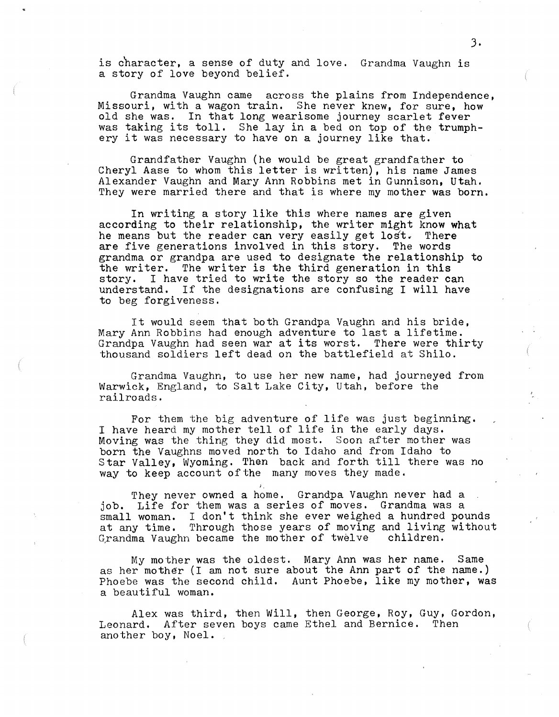is character, a sense of duty and love. Grandma Vaughn is a story of love beyond belief.

Grandma Vaughn came across the plains from Independence, Missouri, with a wagon train. She never knew, for sure, how old she was. In that long wearisome journey scarlet fever was taking its toll. She lay in a bed on top of the trumphery it was necessary to have on a journey like that.

Grandfather Vaughn (he would be great grandfather to Cheryl Aase to whom this letter is written), his name James Alexander Vaughn and Mary Ann Robbins met in Gunnison, Utah. They were married there and that is where my mother was born.

In writing a story like this where names are given according to their relationship, the writer might know what he means but the reader can very easily get lost. There are five generations involved in this story. The words grandma or grandpa are used to designate the relationship to the writer. The writer is the third generation in this story. I have tried to write the story so the reader can understand. If the designations are confusing I will have to beg forgiveness.

It would seem that both Grandpa Vaughn and his bride, Mary Ann Robbins had enough adventure to last a lifetime. mary Ann Robbins had enough adventure to last a lifetime.<br>Grandpa Vaughn had seen war at its worst. There were thirty thousand soldiers left dead on the battlefield at Shilo.

Grandma Vaughn, to use her new name, had journeyed from Warwick, England, to Salt Lake City, Utah, before the railroads.

For them the big adventure of life was just beginning. I have heard my mother tell of life in the early days. Moving was the thing they did most. Soon after mother was born the Vaughns moved north to Idaho and from Idaho to Star Valley, Wyoming. Then back and forth till there was no way to keep account of the many moves they made.

They never owned a home. Grandpa Vaughn never had a job. Life for them was a series of moves. Grandma was a small woman. I don't think she ever weighed a hundred pounds at any time. Through those years of moving and living without<br>Grandma Vaughn became the mother of twelve schildren. Grandma Vaughn became the mother of twelve

My mother was the oldest. Mary Ann was her name. Same as her mother (I am not sure about the Ann part of the name.) Phoebe was the second child. Aunt Phoebe, like my mother, was a beautiful woman.

Alex was third, then Will, then George, Roy, Guy, Gordon, Leonard. After seven boys came Ethel and Bernice. Then another boy, Noel.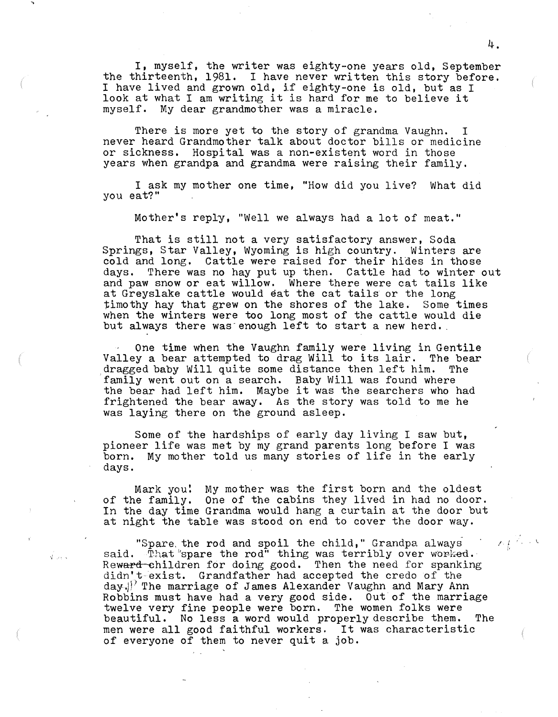I, myself, the writer was eighty-one years old, September the thirteenth, 1981. I have never written this story before. I have lived and grown old, if eighty-one is old, but as I look at what I am writing it is hard for me to believe it myself. My dear grandmother was a miracle.

There is more yet to the story of grandma Vaughn. I never heard Grandmother talk about doctor bills or medicine or sickness. Hospital was a non-existent word in those years when grandpa and grandma were raising their family.

I ask my mother one time, "How did you live? What did you eat?"

Mother's reply, "Well we always had a lot of meat."

That is still not a very satisfactory answer, Soda Springs, Star Valley, Wyoming is high country. Winters are cold and long. Cattle were raised for their hides in those days. There was no hay put up then. Cattle had to winter out and paw snow or eat willow. Where there were cat tails like at Greyslake cattle would eat the cat tails or the long timothy hay that grew on the shores of the lake. Some times when the winters were too long most of the cattle would die but always there was enough left to start a new herd.

One time when the Vaughn family were living in Gentile Valley a bear attempted to drag Will to its lair. The bear<br>dragged baby Will quite some distance then left him. The dragged baby Will quite some distance then left him. family went out on a search. Baby Will was found where the bear had left him. Maybe it was the searchers who had frightened the bear away. As the story was told to me he was laying there on the ground asleep.

Some of the hardships of early day living I saw but, pioneer life was met by my grand parents long before I was born. My mother told us many stories of life in the early days.

Mark you: My mother was the first born and the oldest of the family. One of the cabins they lived in had no door. In the day time Grandma would hang a curtain at the door but at night the table was stood on end to cover the door way.

"Spare. the rod and spoil the child," Grandpa always- said. That 'spare the rod" thing was terribly over worked. Reward children for doing good. Then the need for spanking didn't exist. Grandfather had accepted the credo of the day.)<sup>2</sup> The marriage of James Alexander Vaughn and Mary Ann Robbins must have had a very good side. Out of the marriage twelve very fine people were born. The women folks were beautiful. No less a word would properly describe them. The men were all good faithful workers. It was characteristic of everyone of them to never quit a job.

 $d$  ,  $\alpha$  ,  $\kappa$ 

4.

 $\wedge$  for  $\wedge$   $\vee$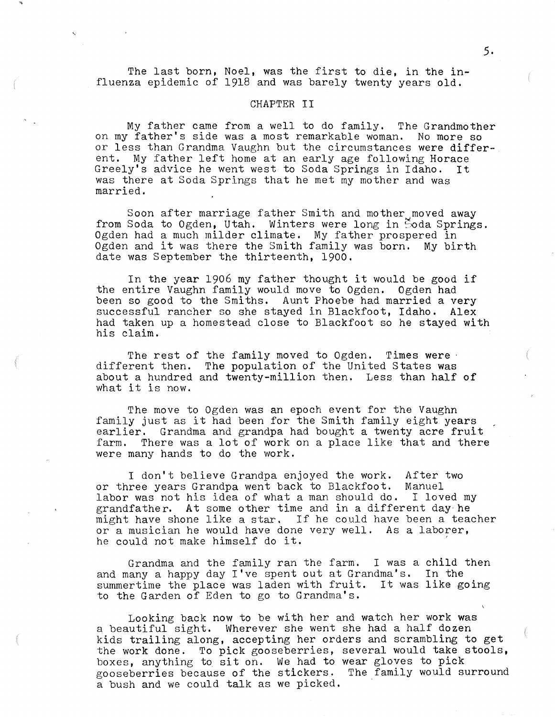The last born, Noel, was the first to die, in the influenza epidemic of 1918 and was barely twenty years old.

## CHAPTER II

My father came from a well to do family. The Grandmother on my father's side was a most remarkable woman. No more so or less than Grandma Vaughn but the circumstances were different. My father left home at an early age following Horace Greely's advice he went west to Soda Springs in Idaho. It was there at Soda Springs that he met my mother and was married.

Soon after marriage father Smith and mother moved away from Soda to Ogden, Utah. Winters were long in Coda Springs. Ogden had a much milder climate. My father prospered in Ogden and it was there the Smith family was born. My birth date was September the thirteenth, 1900.

In the year 1906 my father thought it would be good if the entire Vaughn family would move to Ogden. Ogden had been so good to the Smiths. Aunt Phoebe had married a very successful rancher so she stayed in Blackfoot, Idaho. Alex had taken up a homestead close to Blackfoot so he stayed with his claim.

The rest of the family moved to Ogden. Times were different then. The population of the United States was about a hundred and twenty-million then. Less than half of what it is now.

The move to Ogden was an epoch event for the Vaughn family just as it had been for the Smith family eight years earlier. Grandma and grandpa had bought a twenty acre fruit farm. There was a lot of work on a place like that and there were many hands to do the work.

I don't believe Grandpa enjoyed the work. After two or three years Grandpa went back to Blackfoot. Manuel labor was not his idea of what a man should do. I loved my grandfather. At some other time and in a different day· he might have shone like a star. If he could have been a teacher or a musician he would have done very well. As a laborer, he could not make himself do it.

Grandma and the family ran the farm. I was a child then and many a happy day I've spent out at Grandma's. In the summertime the place was laden with fruit. It was like going to the Garden of Eden to go to Grandma's.

Looking back now to be with her and watch her work was a beautiful sight. Wherever she went she had a half dozen kids trailing along, accepting her orders and scrambling to get the work done. To pick gooseberries, several would take stools, boxes, anything to sit on. We had to wear gloves to pick gooseberries because of the stickers. The family would surround a bush and we could talk as we picked.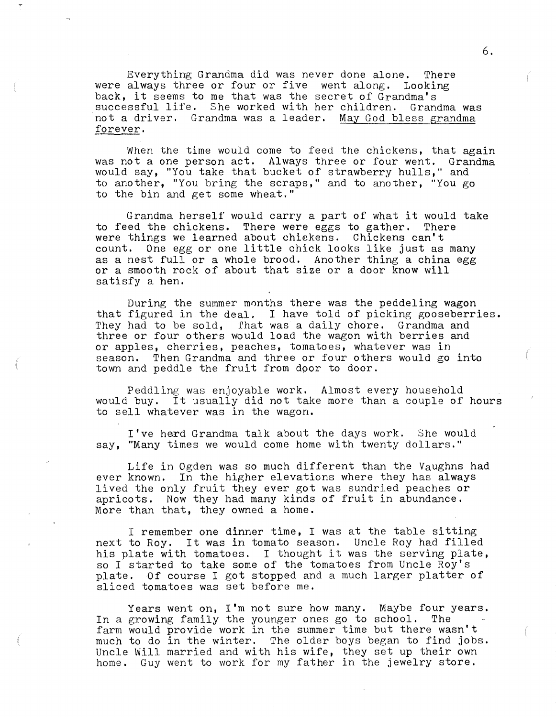Everything Grandma did was never done alone. There were always three or four or five went along. Looking back, it seems to me that was the secret of Grandma's successful life. She worked with her children. Grandma was not a driver. Grandma was a leader. May God bless grandma forever.

When the time would come to feed the chickens, that again was not a one person act. Always three or four went. Grandma would say, "You take that bucket of strawberry hulls," and to another, "You bring the scraps," and to another, "You go to the bin and get some wheat."

Grandma herself would carry a part of what it would take<br>ed the chickens. There were eggs to gather. There to feed the chickens. There were eggs to gather. were things we learned about chiekens. Chickens can't count. One egg or one little chick looks like just as many as a nest full or a whole brood. Another thing a china egg or a smooth rock of about that size or a door know will satisfy a hen.

During the summer m0nths there was the peddeling wagon that figured in the deal. I have told of picking gooseberries. They had to be sold, That was a daily chore. Grandma and three or four others would load the wagon with berries and or apples, cherries, peaches, tomatoes, whatever was in season. Then Grandma and three or four others would go into town and peddle the fruit from door to door.

Peddling was enjoyable work. Almost every household would buy. It usually did not take more than a couple of hours to sell whatever was in the wagon.

I've herd Grandma talk about the days work. She would say, "Many times we would come home with twenty dollars."

Life in Ogden was so much different than the Vaughns had ever known. In the higher elevations where they has always lived the only fruit they ever got was sundried peaches or apricots. Now they had many kinds of fruit in abundance. More than that, they owned a home.

I remember one dinner time, I was at the table sitting next to Roy. It was in tomato season. Uncle Roy had filled his plate with tomatoes. I thought it was the serving plate, so I started to take some of the tomatoes from Uncle Roy's plate. Of course I got stopped and a much larger platter of sliced tomatoes was set before me.

Years went on, I'm not sure how many. Maybe four years. In a growing family the younger ones go to school. The farm would provide work in the summer time but there wasn't much to do in the winter. The older boys began to find jobs. Uncle Will married and with his wife, they set up their own home. Guy went to work for my father in the jewelry store.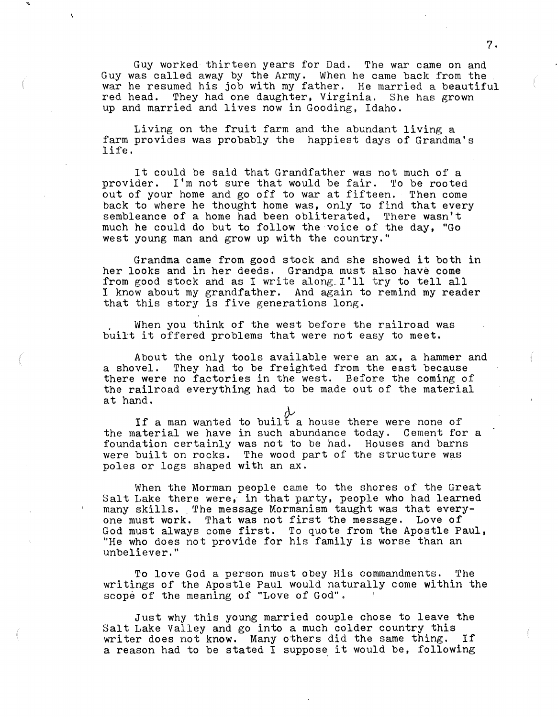Guy worked thirteen years for Dad. The war came on and Guy was called away by the Army. When he came back from the war he resumed his job with my father. He married a beautiful red head. They had one daughter, Virginia. She has grown up and married and lives now in Gooding, Idaho.

Living on the fruit farm and the abundant living a farm provides was probably the happiest days of Grandma's life.

It could be said that Grandfather was not much of a provider. I'm not sure that would be fair. To be rooted out of your home and go off to war at fifteen. Then come back to where he thought home was, only to find that every sembleance of a home had been obliterated, There wasn't much he could do but to follow the voice of the day, "Go west young man and grow up with the country."

Grandma came from good stock and she showed it both in her looks and in her deeds. Grandpa must also have come from good stock and as I write along I'll try to tell all I know about my grandfather. And again to remind my reader that this story is five generations long.

When you think of the west before the railroad was built it offered problems that were not easy to meet.

About the only tools available were an ax, a hammer and a shovel. They had to be freighted from the east because there were no factories in the west. Before the coming of the railroad everything had to be made out of the material at hand.

If a man wanted to buil $\mathcal{C}$  a house there were none of the material we have in such abundance today. Cement for a foundation certainly was not to be had. Houses and barns were built on rocks. The wood part of the structure was poles or logs shaped with an ax.

When the Morman people came to the shores of the Great Salt Lake there were, in that party, people who had learned many skills. The message Mormanism taught was that everyone must work. That was not first the message. Love of God must always come first. To quote from the Apostle Paul, "He who does not provide for his family is worse than an unbeliever."

To love God a person must obey His commandments. The writings of the Apostle Paul would naturally come within the scope of the meaning of "Love of God".

Just why this young married couple chose to leave the Salt Lake Valley and go into a much colder country this writer does not know. Many others did the same thing. If writer does not know. Many others did the same thing. a reason had to be stated I suppose it would be, following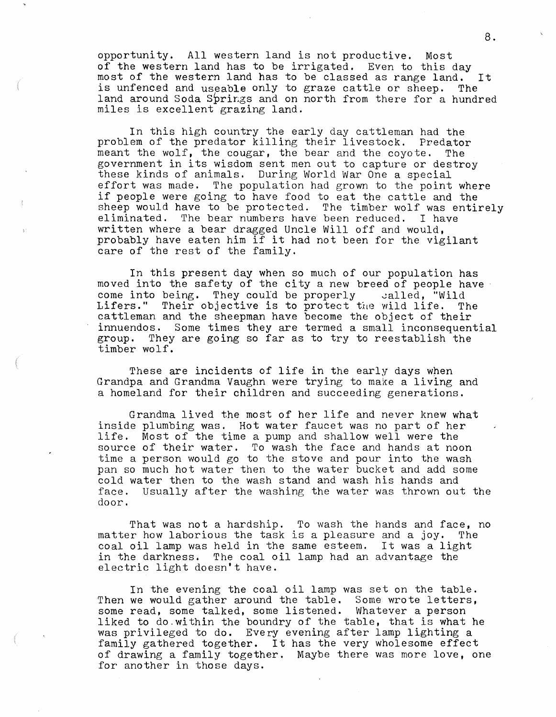opportunity. All western land is not productive. Most of the western land has to be irrigated. Even to this day most of the western land has to be classed as range land. It is unfenced and useable only to graze cattle or sheep. The land around Soda Springs and on north from there for a hundred miles is excellent grazing land.

In this high country the early day cattleman had the problem of the predator killing their livestock. Predator meant the wolf, the cougar, the bear and the coyote. The government in its wisdom sent men out to capture or destroy these kinds of animals. During World War One a special effort was made. The population had grown to the point where if people were going to have food to eat the cattle and the sheep would have to be protected. The timber wolf was entirely eliminated. The bear numbers have been reduced. I have written where a bear dragged Uncle Will off and would, probably have eaten him if it had not been for the vigilant care of the rest of the family.

In this present day when so much of our population has moved into the safety of the city a new breed of people have<br>come into being. They could be properly called, "Wild come into being. They could be properly Lifers." Their objective is to protect the wild life. The cattleman and the sheepman have become the object of their innuendos. Some times they are termed a small inconsequential<br>group. They are going so far as to try to reestablish the They are going so far as to try to reestablish the timber wolf.

These are incidents of life in the early days when Grandpa and Grandma Vaughn were trying to make a living and a homeland for their children and succeeding generations.

Grandma lived the most of her life and never knew what inside plumbing was. Hot water faucet was no part of her life. Most of the time a pump and shallow well were the source of their water. To wash the face and hands at noon time a person would go to the stove and pour into the wash pan so much hot water then to the water bucket and add some cold water then to the wash stand and wash his hands and face. Usually after the washing the water was thrown out the door.

That was not a hardship. To wash the hands and face, no matter how laborious the task is a pleasure and a joy. The coal oil lamp was held in the same esteem. It was a light in the darkness. The coal oil lamp had an advantage the electric light doesn't have.

In the evening the coal oil lamp was set on the table. Then we would gather around the table. Some wrote letters, some read, some talked, some listened. Whatever a person liked to do.within the boundry of the table, that is what he was privileged to do. Every evening after lamp lighting a family gathered together. It has the very wholesome effect of drawing a family together. Maybe there was more love, one for another in those days.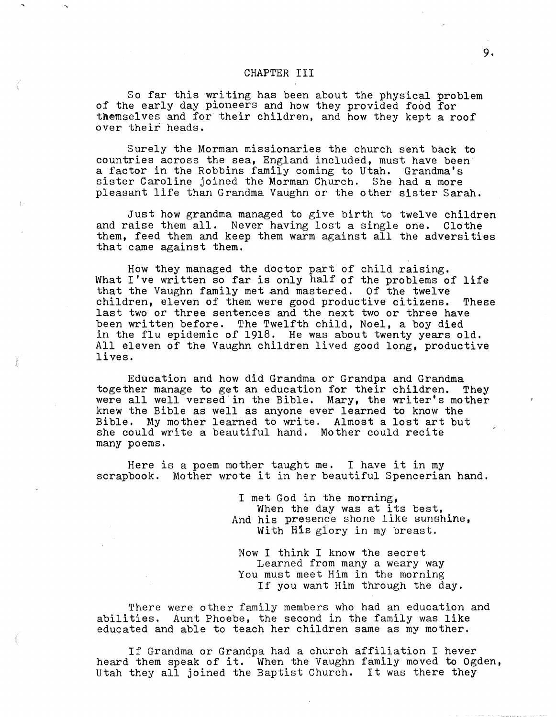## CHAPTER III

So far this writing has been about the physical problem of the early day pioneers and how they provided food for themselves and for their children, and how they kept a roof over their heads.

Surely the Morman missionaries the church sent back to countries across the sea, England included, must have been a factor in the Robbins family coming to Utah. Grandma's sister Caroline joined the Morman Church. She had a more pleasant life than Grandma Vaughn or the other sister Sarah.

Just how grandma managed to give birth to twelve children and raise them all. Never having lost a single one. Clothe them, feed them and keep them warm against all the adversities that came against them.

How they managed the doctor part of child raising. What I've written so far is only half of the problems of life that the Vaughn family met and mastered. Of the twelve children, eleven of them were good productive citizens. These last two or three sentences and the next two or three have been written before. The Twelfth child, Noel, a boy died in the flu epidemic of 1918. He was about twenty years old. All eleven of the Vaughn children lived good long, productive lives.

Education and how did Grandma or Grandpa and Grandma together manage to get an education for their children. They were all well versed in the Bible. Mary, the writer's mother knew the Bible as well as anyone ever learned to know the Bible. My mother learned to write. Almost a lost art but she could write a beautiful hand. Mother could recite many poems.

Here is a poem mother taught me. I have it in my scrapbook. Mother wrote it in her beautiful Spencerian hand.

> I met God in the morning, When the day was at its best, And his presence shone like sunshine, With H1s glory in my breast.

Now I think I know the secret Learned from many a weary way You must meet Him in the morning If you want Him through the day.

There were other family members who had an education and abilities. Aunt Phoebe, the second in the family was like educated and able to teach her children same as my mother.

If Grandma or Grandpa had a church affiliation I hever heard them speak of it. When the Vaughn family moved to Ogden, Utah they all joined the Baptist Church. It was there they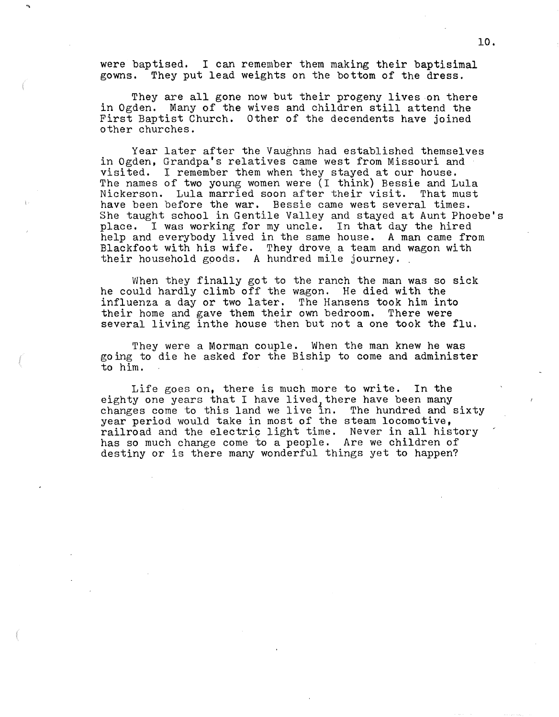were baptised. I can remember them making their baptisimal gowns. They put lead weights on the bottom of the dress. They put lead weights on the bottom of the dress.

They are all gone now but their progeny lives on there in Ogden. Many of the wives and children still attend the First Baptist Church. Other of the decendents have joined other churches.

Year later after the Vaughns had established themselves in Ogden, Grandpa's relatives came west from Missouri and visited. I remember them when they stayed at our house. The names of two young women were (I think) Bessie and Lula<br>Nickerson. Lula married soon after their visit. That must Nickerson. Lula married soon after their visit. have been before the war. Bessie came west several times. She taught school in Gentile Valley and stayed at Aunt Phoebe's place. I was working for my uncle. In that day the hired help and everybody lived in the same house. A man came from Blackfoot with his wife. They drove, a team and wagon with their household goods. A hundred mile journey.

When they finally got to the ranch the man was so sick he could hardly climb off the wagon. He died with the influenza a day or two later. The Hansens took him into their home and gave them their own bedroom. There were their home and gave them their own bedroom. several living inthe house then but not a one took the flu.

They were a Morman couple. When the man knew he was going to die he asked for the Biship to come and administer to him.

Life goes on, there is much more to write. In the eighty one years that I have lived, there have been many changes come to this land we live in. The hundred and sixty year period would take in most of the steam locomotive, railroad and the electric light time. Never in all history has so much change come to a people. Are we children of destiny or is there many wonderful things yet to happen?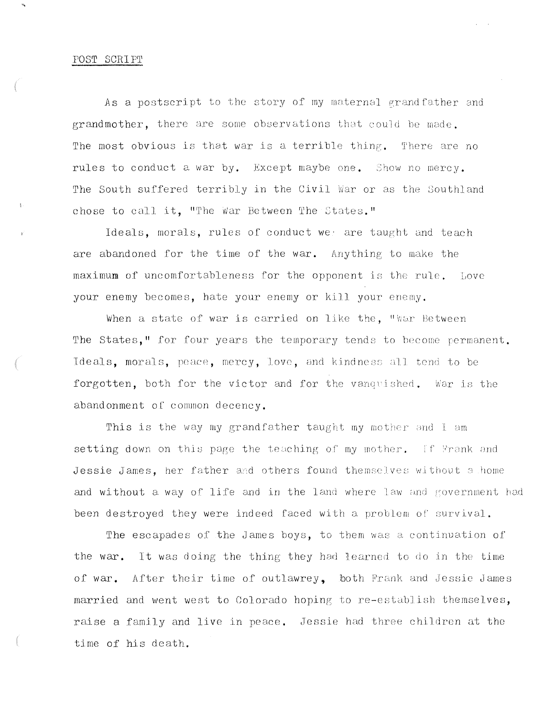## POST SCRIPT

As a postscript to the story of my maternal grandfather and grandmother, there are some observations that could be made. The most obvious is that war is a terrible thing. There are no rules to conduct a war by. Except maybe one. Show no mercy. The South suffered terribly in the Civil War or as the Southland chose to call it, "The War Between The States."

Ideals, morals, rules of conduct we are taught and teach are abandoned for the time of the war. Anything to make the maximum of uncomfortableness for the opponent is the rule. Love your enemy becomes, hate your enemy or kill your enemy.

When a state of war is carried on like the, "War Between The States," for four years the temporary tends to become permanent. Ideals, morals, peace, mercy, love, and kindness all tend to be forgotten, both for the victor and for the vanquished. War is the abandonment of common decency.

This is the way my grandfather taught my mother and I am setting down on this page the teaching of my mother. If Frank and Jessie James, her father and others found themselves without a home and without a way of life and in the land where law and government had been destroyed they were indeed faced with a problem of survival.

The escapades of the James boys, to them was a continuation of the war. It was doing the thing they had learned to do in the time of war. After their time of outlawrey. both Frank and Jessie James married and went west to Colorado hoping to re-establish themselves, raise a family and live in peace. Jessie had three children at the time of his death.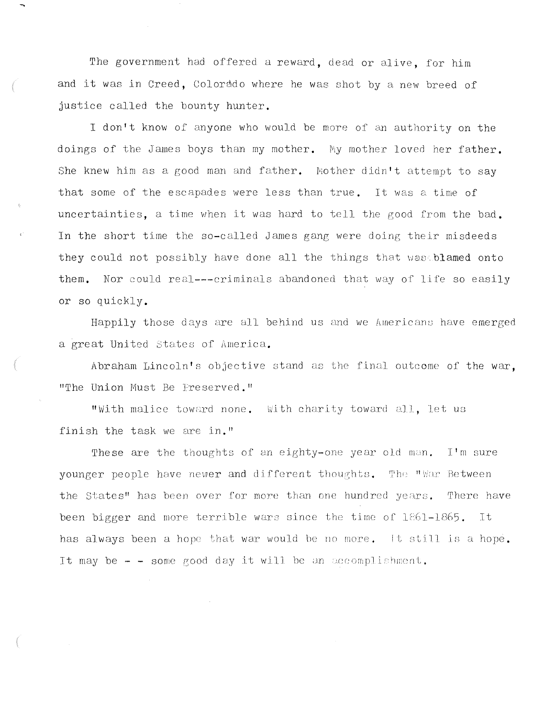The government had offered a reward, dead or alive, for him and it was in Creed, Colorddo where he was shot by a new breed of justice called the bounty hunter.

I don't know of anyone who would be more of an authority on the doings of the James boys than my mother. My mother loved her father. She knew him as a good man and father. Mother didn't attempt to say that some of the escapades were less than true. It was a time of uncertainties, a time when it was hard to tell the good from the bad. In the short time the so-called James gang were doing their misdeeds they could not possibly have done all the things that was blamed onto them. Nor could real---criminals abandoned that way of life so easily or so quickly.

Happily those days are all behind us and we Americans have emerged a great United States of America.

Abraham Lincoln's objective stand as the final outcome of the war. "The Union Must Be Preserved."

"With malice toward none. With charity toward all, let us finish the task we are in."

These are the thoughts of an eighty-one year old man. I'm sure younger people have newer and different thoughts. The "War Between the States" has been over for more than one hundred years. There have been bigger and more terrible wars since the time of 1861-1865. It has always been a hope that war would be no more. It still is a hope. It may be - - some good day it will be an accomplishment.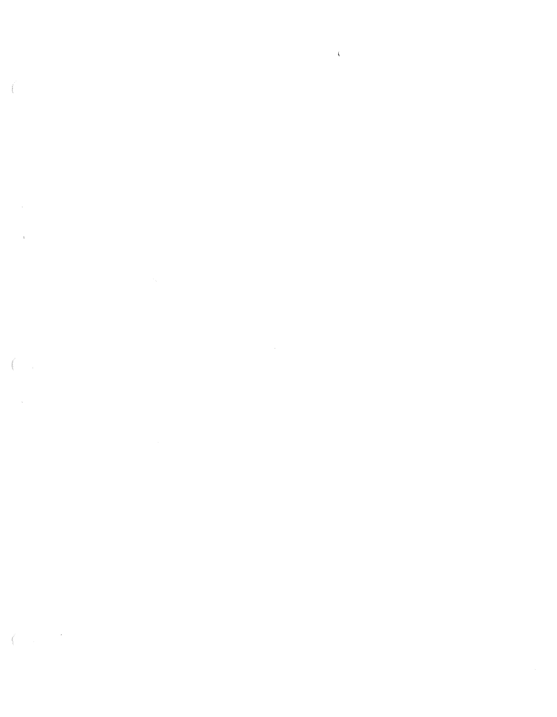$\int_0^T$ 

 $\label{eq:2.1} \mathbf{E}^{(1)} = \mathbf{E}^{(1)} \mathbf{E}^{(1)}$ 

 $\label{eq:1} \begin{aligned} \frac{1}{\sqrt{2}}\mathbf{E}[\mathbf{E}^{\text{max}}_{\mathbf{p},\mathbf{p}}] \\ &\qquad \qquad \times \mathbf{E}[\mathbf{E}^{\text{max}}_{\mathbf{p},\mathbf{p}}] \\ &\qquad \qquad \times \mathbf{E}[\mathbf{E}^{\text{max}}_{\mathbf{p},\mathbf{p}}] \\ &\qquad \qquad \times \mathbf{E}[\mathbf{E}^{\text{max}}_{\mathbf{p},\mathbf{p}}] \\ &\qquad \qquad \times \mathbf{E}[\mathbf{E}^{\text{max}}_{\mathbf{p},\mathbf{p$  $\label{eq:2.1} \frac{1}{\sqrt{2\pi}}\sum_{i=1}^n\frac{1}{\sqrt{2\pi}}\sum_{i=1}^n\frac{1}{\sqrt{2\pi}}\sum_{i=1}^n\frac{1}{\sqrt{2\pi}}\sum_{i=1}^n\frac{1}{\sqrt{2\pi}}\sum_{i=1}^n\frac{1}{\sqrt{2\pi}}\sum_{i=1}^n\frac{1}{\sqrt{2\pi}}\sum_{i=1}^n\frac{1}{\sqrt{2\pi}}\sum_{i=1}^n\frac{1}{\sqrt{2\pi}}\sum_{i=1}^n\frac{1}{\sqrt{2\pi}}\sum_{i=1}^n\$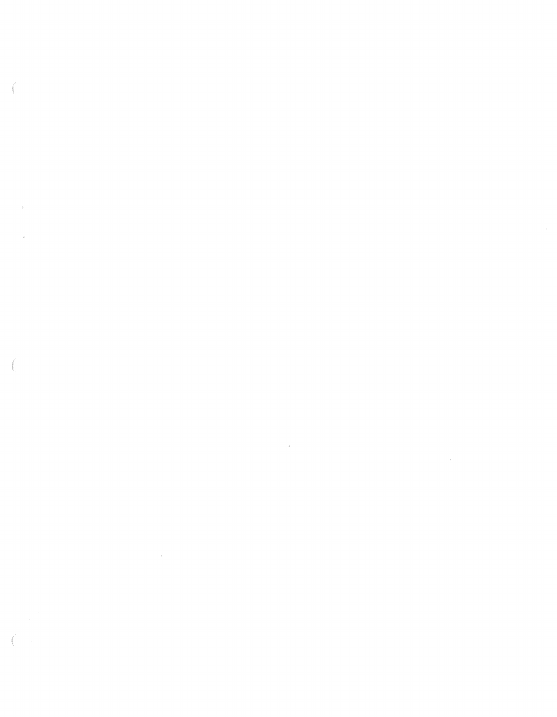$\label{eq:3.1} \int_0^{\xi^2}$ 

 $\label{eq:2.1} \mathcal{L} = \frac{1}{2} \sum_{i=1}^n \frac{1}{2} \sum_{j=1}^n \frac{1}{2} \sum_{j=1}^n \frac{1}{2} \sum_{j=1}^n \frac{1}{2} \sum_{j=1}^n \frac{1}{2} \sum_{j=1}^n \frac{1}{2} \sum_{j=1}^n \frac{1}{2} \sum_{j=1}^n \frac{1}{2} \sum_{j=1}^n \frac{1}{2} \sum_{j=1}^n \frac{1}{2} \sum_{j=1}^n \frac{1}{2} \sum_{j=1}^n \frac{1}{2} \sum_{j=$ 

 $\sim$ 

 $\label{eq:2.1} \frac{1}{\sqrt{2}}\int_{\mathbb{R}^3}\frac{1}{\sqrt{2}}\left(\frac{1}{\sqrt{2}}\right)^2\frac{1}{\sqrt{2}}\left(\frac{1}{\sqrt{2}}\right)^2\frac{1}{\sqrt{2}}\left(\frac{1}{\sqrt{2}}\right)^2\frac{1}{\sqrt{2}}\left(\frac{1}{\sqrt{2}}\right)^2\frac{1}{\sqrt{2}}\left(\frac{1}{\sqrt{2}}\right)^2\frac{1}{\sqrt{2}}\frac{1}{\sqrt{2}}\frac{1}{\sqrt{2}}\frac{1}{\sqrt{2}}\frac{1}{\sqrt{2}}\frac{1}{\sqrt{2}}$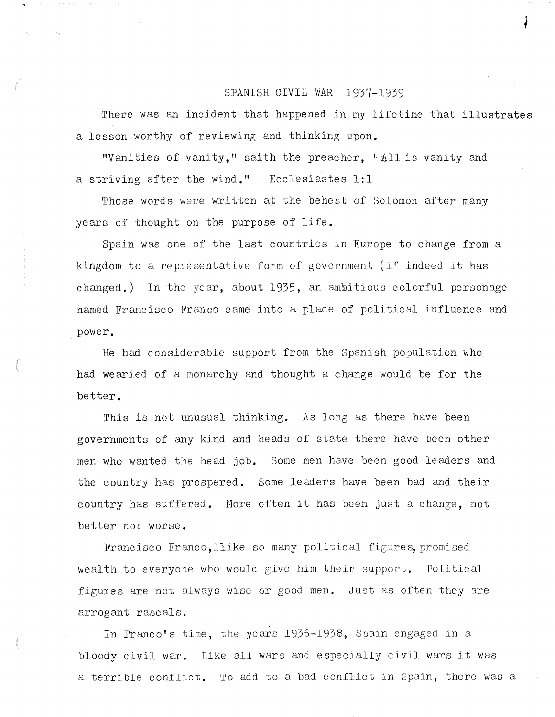## SPANISH CIVIL WAR 1937-1939

There was an incident that happened in my lifetime that illustrates a lesson worthy of reviewing and thinking upon.

"Vanities of vanity," saith the preacher, 'All is vanity and a striving after the wind." Ecclesiastes 1:1

Those words were written at the behest of Solomon after many years of thought on the purpose of life.

Spain was one of the last countries in Europe to change from a kingdom to a representative form of government (if indeed it has changed.) In the year, about  $1935$ , an ambitious colorful personage named Francisco Franco came into a place of political influence and power.

He had considerable support from the Spanish population who had wearied of a monarchy and thought a change would be for the better.

This is not unusual thinking. As long as there have been governments of any kind and heads of state there have been other men who wanted the head job. Some men have been good leaders and the country has prospered. Some leaders have been bad and their country has suffered. More often it has been just a change, not better nor worse.

Francisco Franco, like so many political figures, promised wealth to everyone who would give him their support. Political figures are not always wise or good men. Just as often they are arrogant rascals.

In Franco's time, the years 1936-1938, Spain engaged in a bloody civil war. Like all wars and especially civil wars it was a terrible conflict. To add to a bad conflict in Spain, there was a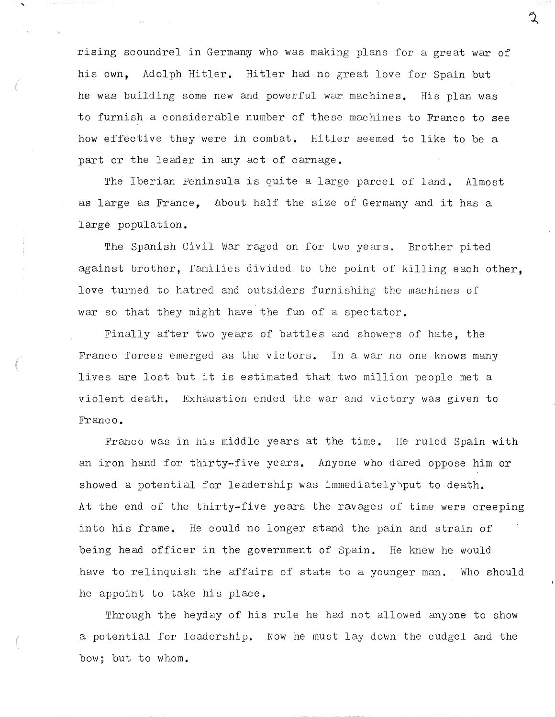rising scoundrel in Germany who was making plans for a great war of his own, Adolph Hitler. Hitler had no great love for Spain but he was building some new and powerful war machines. His plan was to furnish a considerable number of these machines to Franco to see how effective they were in combat. Hitler seemed to like to be a part or the leader in any act of carnage.

The Iberian Peninsula is quite a large parcel of land. Almost as large as France, about half the size of Germany and it has a large population.

The Spanish Civil War raged on for two years. Brother pited against brother, families divided to the point of killing each other, love turned to hatred and outsiders furnishing the machines of war so that they might have the fun of a spectator.

Finally after two years of battles and showers of hate, the Franco forces emerged as the victors. In a war no one knows many lives are lost but it is estimated that two million people met a violent death. Exhaustion ended the war and victory was given to Franco.

Franco was in his middle years at the time. He ruled Spain with an iron hand for thirty-five years. Anyone who dared oppose him or showed a potential for leadership was immediately'nut to death. At the end of the thirty-five years the ravages of time were creeping into his frame. He could no longer stand the pain and strain of being head officer in the government of Spain. He knew he would have to relinquish the affairs of state to a younger man. Who should he appoint to take his place.

Through the heyday of his rule he had not allowed anyone to show a potential for leadership. Now he must lay down the cudgel and the bow; but to whom.